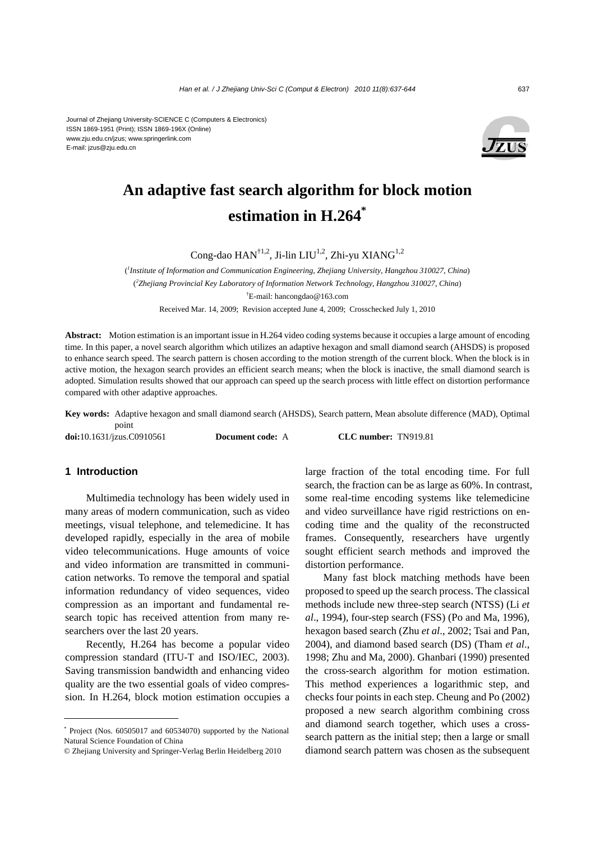Journal of Zhejiang University-SCIENCE C (Computers & Electronics) ISSN 1869-1951 (Print); ISSN 1869-196X (Online) www.zju.edu.cn/jzus; www.springerlink.com E-mail: jzus@zju.edu.cn



# **An adaptive fast search algorithm for block motion estimation in H.264\***

Cong-dao  $HAN^{\dagger1,2}$ , Ji-lin LIU<sup>1,2</sup>, Zhi-yu XIANG<sup>1,2</sup>

( *1 Institute of Information and Communication Engineering, Zhejiang University, Hangzhou 310027, China*) ( *2 Zhejiang Provincial Key Laboratory of Information Network Technology, Hangzhou 310027, China*) † E-mail: hancongdao@163.com Received Mar. 14, 2009; Revision accepted June 4, 2009; Crosschecked July 1, 2010

**Abstract:** Motion estimation is an important issue in H.264 video coding systems because it occupies a large amount of encoding time. In this paper, a novel search algorithm which utilizes an adaptive hexagon and small diamond search (AHSDS) is proposed to enhance search speed. The search pattern is chosen according to the motion strength of the current block. When the block is in active motion, the hexagon search provides an efficient search means; when the block is inactive, the small diamond search is adopted. Simulation results showed that our approach can speed up the search process with little effect on distortion performance compared with other adaptive approaches.

**Key words:** Adaptive hexagon and small diamond search (AHSDS), Search pattern, Mean absolute difference (MAD), Optimal point

**doi:**10.1631/jzus.C0910561 **Document code:** A **CLC number:** TN919.81

## **1 Introduction**

Multimedia technology has been widely used in many areas of modern communication, such as video meetings, visual telephone, and telemedicine. It has developed rapidly, especially in the area of mobile video telecommunications. Huge amounts of voice and video information are transmitted in communication networks. To remove the temporal and spatial information redundancy of video sequences, video compression as an important and fundamental research topic has received attention from many researchers over the last 20 years.

Recently, H.264 has become a popular video compression standard (ITU-T and ISO/IEC, 2003). Saving transmission bandwidth and enhancing video quality are the two essential goals of video compression. In H.264, block motion estimation occupies a

large fraction of the total encoding time. For full search, the fraction can be as large as 60%. In contrast, some real-time encoding systems like telemedicine and video surveillance have rigid restrictions on encoding time and the quality of the reconstructed frames. Consequently, researchers have urgently sought efficient search methods and improved the distortion performance.

Many fast block matching methods have been proposed to speed up the search process. The classical methods include new three-step search (NTSS) (Li *et al*., 1994), four-step search (FSS) (Po and Ma, 1996), hexagon based search (Zhu *et al*., 2002; Tsai and Pan, 2004), and diamond based search (DS) (Tham *et al*., 1998; Zhu and Ma, 2000). Ghanbari (1990) presented the cross-search algorithm for motion estimation. This method experiences a logarithmic step, and checks four points in each step. Cheung and Po (2002) proposed a new search algorithm combining cross and diamond search together, which uses a crosssearch pattern as the initial step; then a large or small diamond search pattern was chosen as the subsequent

<sup>\*</sup> Project (Nos. 60505017 and 60534070) supported by the National Natural Science Foundation of China

<sup>©</sup> Zhejiang University and Springer-Verlag Berlin Heidelberg 2010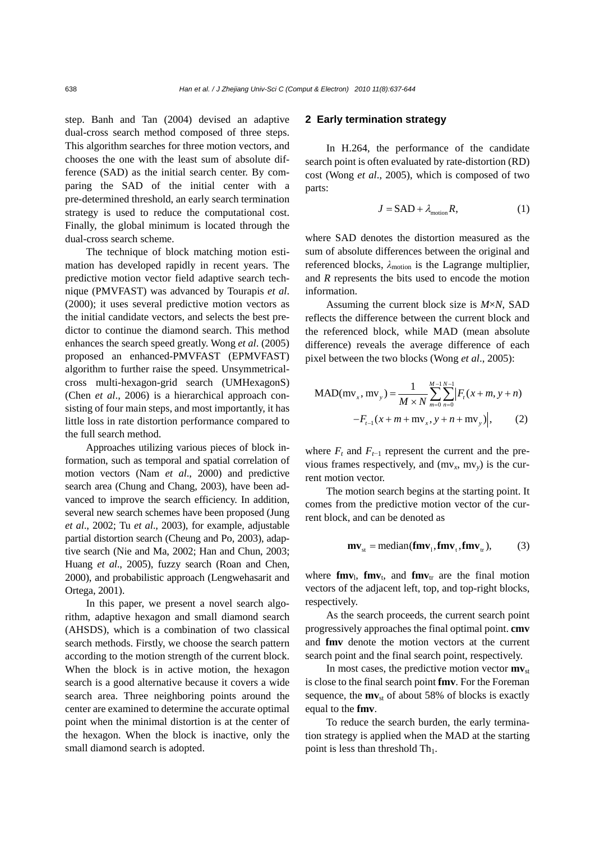step. Banh and Tan (2004) devised an adaptive dual-cross search method composed of three steps. This algorithm searches for three motion vectors, and chooses the one with the least sum of absolute difference (SAD) as the initial search center. By comparing the SAD of the initial center with a pre-determined threshold, an early search termination strategy is used to reduce the computational cost. Finally, the global minimum is located through the dual-cross search scheme.

The technique of block matching motion estimation has developed rapidly in recent years. The predictive motion vector field adaptive search technique (PMVFAST) was advanced by Tourapis *et al*. (2000); it uses several predictive motion vectors as the initial candidate vectors, and selects the best predictor to continue the diamond search. This method enhances the search speed greatly. Wong *et al*. (2005) proposed an enhanced-PMVFAST (EPMVFAST) algorithm to further raise the speed. Unsymmetricalcross multi-hexagon-grid search (UMHexagonS) (Chen *et al*., 2006) is a hierarchical approach consisting of four main steps, and most importantly, it has little loss in rate distortion performance compared to the full search method.

Approaches utilizing various pieces of block information, such as temporal and spatial correlation of motion vectors (Nam *et al*., 2000) and predictive search area (Chung and Chang, 2003), have been advanced to improve the search efficiency. In addition, several new search schemes have been proposed (Jung *et al*., 2002; Tu *et al*., 2003), for example, adjustable partial distortion search (Cheung and Po, 2003), adaptive search (Nie and Ma, 2002; Han and Chun, 2003; Huang *et al*., 2005), fuzzy search (Roan and Chen, 2000), and probabilistic approach (Lengwehasarit and Ortega, 2001).

In this paper, we present a novel search algorithm, adaptive hexagon and small diamond search (AHSDS), which is a combination of two classical search methods. Firstly, we choose the search pattern according to the motion strength of the current block. When the block is in active motion, the hexagon search is a good alternative because it covers a wide search area. Three neighboring points around the center are examined to determine the accurate optimal point when the minimal distortion is at the center of the hexagon. When the block is inactive, only the small diamond search is adopted.

## **2 Early termination strategy**

In H.264, the performance of the candidate search point is often evaluated by rate-distortion (RD) cost (Wong *et al*., 2005), which is composed of two parts:

$$
J = SAD + \lambda_{\text{motion}} R, \tag{1}
$$

where SAD denotes the distortion measured as the sum of absolute differences between the original and referenced blocks, *λ*motion is the Lagrange multiplier, and *R* represents the bits used to encode the motion information.

Assuming the current block size is *M*×*N*, SAD reflects the difference between the current block and the referenced block, while MAD (mean absolute difference) reveals the average difference of each pixel between the two blocks (Wong *et al*., 2005):

$$
MAD(mv_x, mv_y) = \frac{1}{M \times N} \sum_{m=0}^{M-1} \sum_{n=0}^{N-1} |F_t(x+m, y+n)| -F_{t-1}(x+m+mv_y, y+n+mv_y)|,
$$
 (2)

where  $F_t$  and  $F_{t-1}$  represent the current and the previous frames respectively, and (mv*x*, mv*y*) is the current motion vector.

The motion search begins at the starting point. It comes from the predictive motion vector of the current block, and can be denoted as

$$
\mathbf{m}\mathbf{v}_{\rm st} = \text{median}(\mathbf{f}\mathbf{m}\mathbf{v}_{\rm t}, \mathbf{f}\mathbf{m}\mathbf{v}_{\rm t}, \mathbf{f}\mathbf{m}\mathbf{v}_{\rm tr}),\tag{3}
$$

where  $\mathbf{fmv}_1$ ,  $\mathbf{fmv}_t$ , and  $\mathbf{fmv}_{tr}$  are the final motion vectors of the adjacent left, top, and top-right blocks, respectively.

As the search proceeds, the current search point progressively approaches the final optimal point. **cmv** and **fmv** denote the motion vectors at the current search point and the final search point, respectively.

In most cases, the predictive motion vector  $mv_{st}$ is close to the final search point **fmv**. For the Foreman sequence, the  $mv_{st}$  of about 58% of blocks is exactly equal to the **fmv**.

To reduce the search burden, the early termination strategy is applied when the MAD at the starting point is less than threshold  $Th<sub>1</sub>$ .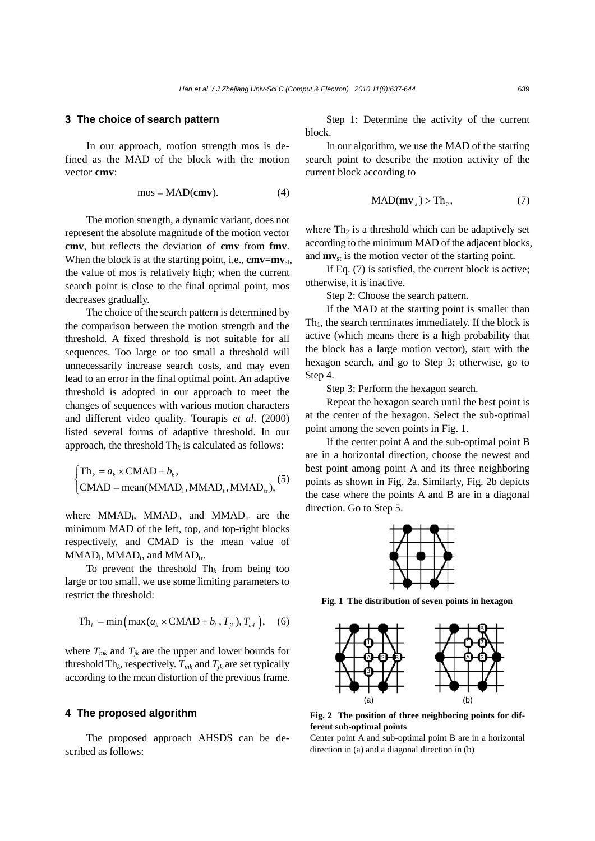#### **3 The choice of search pattern**

In our approach, motion strength mos is defined as the MAD of the block with the motion vector **cmv**:

$$
mos = MAD(cmv).
$$
 (4)

The motion strength, a dynamic variant, does not represent the absolute magnitude of the motion vector **cmv**, but reflects the deviation of **cmv** from **fmv**. When the block is at the starting point, i.e.,  $cmv=mv_{st}$ , the value of mos is relatively high; when the current search point is close to the final optimal point, mos decreases gradually.

The choice of the search pattern is determined by the comparison between the motion strength and the threshold. A fixed threshold is not suitable for all sequences. Too large or too small a threshold will unnecessarily increase search costs, and may even lead to an error in the final optimal point. An adaptive threshold is adopted in our approach to meet the changes of sequences with various motion characters and different video quality. Tourapis *et al*. (2000) listed several forms of adaptive threshold. In our approach, the threshold  $Th_k$  is calculated as follows:

$$
\begin{cases} \text{Th}_k = a_k \times \text{CMAD} + b_k, \\ \text{CMAD} = \text{mean}(\text{MMAD}_1, \text{MMAD}_1, \text{MMAD}_1), \end{cases} (5)
$$

where  $MMAD_1$ ,  $MMAD_t$ , and  $MMAD_{tr}$  are the minimum MAD of the left, top, and top-right blocks respectively, and CMAD is the mean value of  $MMAD<sub>1</sub>$ ,  $MMAD<sub>t</sub>$ , and  $MMAD<sub>tr</sub>$ .

To prevent the threshold  $Th_k$  from being too large or too small, we use some limiting parameters to restrict the threshold:

$$
Th_k = min \left( max(a_k \times CMAD + b_k, T_{jk}), T_{mk} \right), \quad (6)
$$

where  $T_{mk}$  and  $T_{jk}$  are the upper and lower bounds for threshold Th<sub>k</sub>, respectively.  $T_{mk}$  and  $T_{jk}$  are set typically according to the mean distortion of the previous frame.

## **4 The proposed algorithm**

The proposed approach AHSDS can be described as follows:

Step 1: Determine the activity of the current block.

In our algorithm, we use the MAD of the starting search point to describe the motion activity of the current block according to

$$
MAD(mvst) > Th2,
$$
 (7)

where  $Th_2$  is a threshold which can be adaptively set according to the minimum MAD of the adjacent blocks, and  $mv_{st}$  is the motion vector of the starting point.

If Eq. (7) is satisfied, the current block is active; otherwise, it is inactive.

Step 2: Choose the search pattern.

If the MAD at the starting point is smaller than  $Th<sub>1</sub>$ , the search terminates immediately. If the block is active (which means there is a high probability that the block has a large motion vector), start with the hexagon search, and go to Step 3; otherwise, go to Step 4.

Step 3: Perform the hexagon search.

Repeat the hexagon search until the best point is at the center of the hexagon. Select the sub-optimal point among the seven points in Fig. 1.

If the center point A and the sub-optimal point B are in a horizontal direction, choose the newest and best point among point A and its three neighboring points as shown in Fig. 2a. Similarly, Fig. 2b depicts the case where the points A and B are in a diagonal direction. Go to Step 5.



**Fig. 1 The distribution of seven points in hexagon** 



**Fig. 2 The position of three neighboring points for different sub-optimal points** 

Center point A and sub-optimal point B are in a horizontal direction in (a) and a diagonal direction in (b)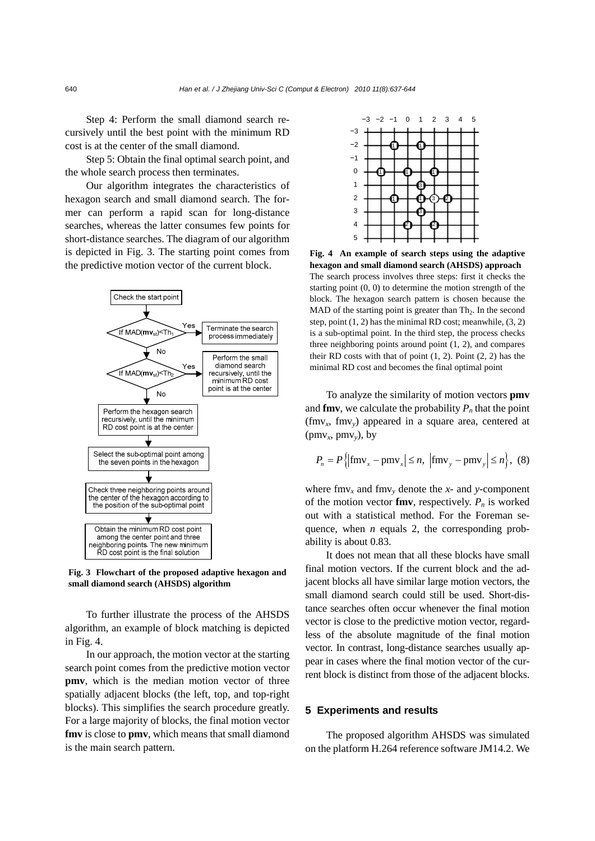Step 4: Perform the small diamond search recursively until the best point with the minimum RD cost is at the center of the small diamond.

Step 5: Obtain the final optimal search point, and the whole search process then terminates.

Our algorithm integrates the characteristics of hexagon search and small diamond search. The former can perform a rapid scan for long-distance searches, whereas the latter consumes few points for short-distance searches. The diagram of our algorithm is depicted in Fig. 3. The starting point comes from the predictive motion vector of the current block.



**Fig. 3 Flowchart of the proposed adaptive hexagon and small diamond search (AHSDS) algorithm** 

To further illustrate the process of the AHSDS algorithm, an example of block matching is depicted in Fig. 4.

In our approach, the motion vector at the starting search point comes from the predictive motion vector **pmv**, which is the median motion vector of three spatially adjacent blocks (the left, top, and top-right blocks). This simplifies the search procedure greatly. For a large majority of blocks, the final motion vector **fmv** is close to **pmv**, which means that small diamond is the main search pattern.



**Fig. 4 An example of search steps using the adaptive hexagon and small diamond search (AHSDS) approach**  The search process involves three steps: first it checks the starting point (0, 0) to determine the motion strength of the block. The hexagon search pattern is chosen because the MAD of the starting point is greater than  $Th_2$ . In the second step, point (1, 2) has the minimal RD cost; meanwhile, (3, 2) is a sub-optimal point. In the third step, the process checks three neighboring points around point (1, 2), and compares their RD costs with that of point  $(1, 2)$ . Point  $(2, 2)$  has the minimal RD cost and becomes the final optimal point

To analyze the similarity of motion vectors **pmv** and **fmv**, we calculate the probability  $P_n$  that the point (fmv*x*, fmv*y*) appeared in a square area, centered at (pm $v_x$ , pm $v_y$ ), by

$$
P_n = P\left\{ \left| \text{fmv}_x - \text{pmv}_x \right| \le n, \, \left| \text{fmv}_y - \text{pmv}_y \right| \le n \right\}, \, (8)
$$

where  $fmv_x$  and  $fmv_y$  denote the *x*- and *y*-component of the motion vector **fmv**, respectively.  $P_n$  is worked out with a statistical method. For the Foreman sequence, when *n* equals 2, the corresponding probability is about 0.83.

It does not mean that all these blocks have small final motion vectors. If the current block and the adjacent blocks all have similar large motion vectors, the small diamond search could still be used. Short-distance searches often occur whenever the final motion vector is close to the predictive motion vector, regardless of the absolute magnitude of the final motion vector. In contrast, long-distance searches usually appear in cases where the final motion vector of the current block is distinct from those of the adjacent blocks.

## **5 Experiments and results**

The proposed algorithm AHSDS was simulated on the platform H.264 reference software JM14.2. We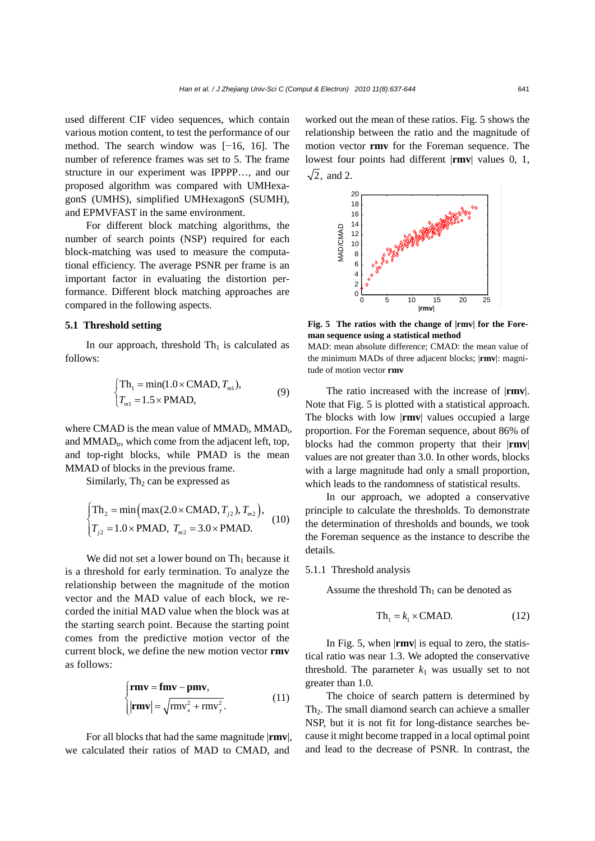used different CIF video sequences, which contain various motion content, to test the performance of our method. The search window was [−16, 16]. The number of reference frames was set to 5. The frame structure in our experiment was IPPPP…, and our proposed algorithm was compared with UMHexagonS (UMHS), simplified UMHexagonS (SUMH), and EPMVFAST in the same environment.

For different block matching algorithms, the number of search points (NSP) required for each block-matching was used to measure the computational efficiency. The average PSNR per frame is an important factor in evaluating the distortion performance. Different block matching approaches are compared in the following aspects.

## **5.1 Threshold setting**

In our approach, threshold  $Th<sub>1</sub>$  is calculated as follows:

$$
\begin{cases}\nTh_1 = \min(1.0 \times \text{CMAD}, T_{m1}), \\
T_{m1} = 1.5 \times \text{PMAD},\n\end{cases} (9)
$$

where CMAD is the mean value of  $MMAD<sub>1</sub>$ ,  $MMAD<sub>t</sub>$ , and  $MMAD<sub>tr</sub>$ , which come from the adjacent left, top, and top-right blocks, while PMAD is the mean MMAD of blocks in the previous frame.

Similarly,  $Th<sub>2</sub>$  can be expressed as

$$
\begin{cases}\n\text{Th}_2 = \min\left(\max(2.0 \times \text{CMAD}, T_{j2}), T_{m2}\right), \\
T_{j2} = 1.0 \times \text{PMAD}, T_{m2} = 3.0 \times \text{PMAD}.\n\end{cases} (10)
$$

We did not set a lower bound on  $Th_1$  because it is a threshold for early termination. To analyze the relationship between the magnitude of the motion vector and the MAD value of each block, we recorded the initial MAD value when the block was at the starting search point. Because the starting point comes from the predictive motion vector of the current block, we define the new motion vector **rmv** as follows:

$$
\begin{cases}\n\mathbf{rmv} = \mathbf{fmv} - \mathbf{pmv}, \\
|\mathbf{rmv}| = \sqrt{\text{rmv}_x^2 + \text{rmv}_y^2}.\n\end{cases} (11)
$$

For all blocks that had the same magnitude |**rmv**|, we calculated their ratios of MAD to CMAD, and

worked out the mean of these ratios. Fig. 5 shows the relationship between the ratio and the magnitude of motion vector **rmv** for the Foreman sequence. The lowest four points had different |**rmv**| values 0, 1,  $\sqrt{2}$ , and 2.



**Fig. 5 The ratios with the change of |rmv| for the Foreman sequence using a statistical method** 

MAD: mean absolute difference; CMAD: the mean value of the minimum MADs of three adjacent blocks; |**rmv**|: magnitude of motion vector **rmv**

The ratio increased with the increase of |**rmv**|. Note that Fig. 5 is plotted with a statistical approach. The blocks with low |**rmv**| values occupied a large proportion. For the Foreman sequence, about 86% of blocks had the common property that their |**rmv**| values are not greater than 3.0. In other words, blocks with a large magnitude had only a small proportion, which leads to the randomness of statistical results.

In our approach, we adopted a conservative principle to calculate the thresholds. To demonstrate the determination of thresholds and bounds, we took the Foreman sequence as the instance to describe the details.

#### 5.1.1 Threshold analysis

Assume the threshold  $Th<sub>1</sub>$  can be denoted as

$$
Th_1 = k_1 \times C MAD.
$$
 (12)

In Fig. 5, when |**rmv**| is equal to zero, the statistical ratio was near 1.3. We adopted the conservative threshold. The parameter  $k_1$  was usually set to not greater than 1.0.

The choice of search pattern is determined by Th<sub>2</sub>. The small diamond search can achieve a smaller NSP, but it is not fit for long-distance searches because it might become trapped in a local optimal point and lead to the decrease of PSNR. In contrast, the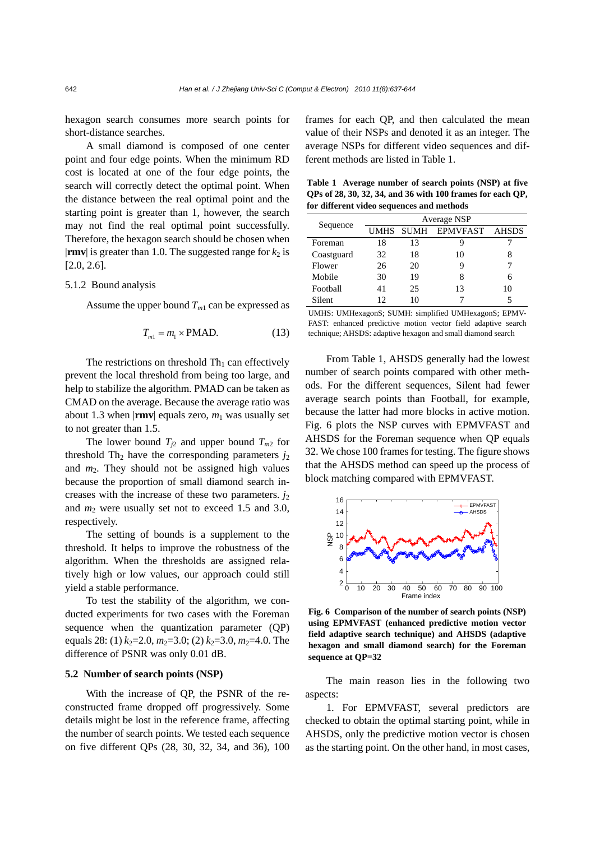hexagon search consumes more search points for short-distance searches.

A small diamond is composed of one center point and four edge points. When the minimum RD cost is located at one of the four edge points, the search will correctly detect the optimal point. When the distance between the real optimal point and the starting point is greater than 1, however, the search may not find the real optimal point successfully. Therefore, the hexagon search should be chosen when  $|\mathbf{rmv}|$  is greater than 1.0. The suggested range for  $k_2$  is  $[2.0, 2.6]$ .

#### 5.1.2 Bound analysis

Assume the upper bound  $T_{m1}$  can be expressed as

$$
T_{m1} = m_1 \times \text{PMAD.} \tag{13}
$$

The restrictions on threshold  $Th<sub>1</sub>$  can effectively prevent the local threshold from being too large, and help to stabilize the algorithm. PMAD can be taken as CMAD on the average. Because the average ratio was about 1.3 when  $|\mathbf{rmv}|$  equals zero,  $m_1$  was usually set to not greater than 1.5.

The lower bound  $T_{i2}$  and upper bound  $T_{m2}$  for threshold Th<sub>2</sub> have the corresponding parameters  $j_2$ and  $m<sub>2</sub>$ . They should not be assigned high values because the proportion of small diamond search increases with the increase of these two parameters.  $j_2$ and *m*2 were usually set not to exceed 1.5 and 3.0, respectively.

The setting of bounds is a supplement to the threshold. It helps to improve the robustness of the algorithm. When the thresholds are assigned relatively high or low values, our approach could still yield a stable performance.

To test the stability of the algorithm, we conducted experiments for two cases with the Foreman sequence when the quantization parameter (QP) equals 28: (1)  $k_2$ =2.0,  $m_2$ =3.0; (2)  $k_2$ =3.0,  $m_2$ =4.0. The difference of PSNR was only 0.01 dB.

# **5.2 Number of search points (NSP)**

With the increase of QP, the PSNR of the reconstructed frame dropped off progressively. Some details might be lost in the reference frame, affecting the number of search points. We tested each sequence on five different QPs (28, 30, 32, 34, and 36), 100 frames for each QP, and then calculated the mean value of their NSPs and denoted it as an integer. The average NSPs for different video sequences and different methods are listed in Table 1.

**Table 1 Average number of search points (NSP) at five QPs of 28, 30, 32, 34, and 36 with 100 frames for each QP, for different video sequences and methods** 

| Sequence   | Average NSP |      |          |              |  |
|------------|-------------|------|----------|--------------|--|
|            | UMHS        | SUMH | EPMVFAST | <b>AHSDS</b> |  |
| Foreman    | 18          | 13   |          |              |  |
| Coastguard | 32          | 18   | 10       | 8            |  |
| Flower     | 26          | 20   | 9        |              |  |
| Mobile     | 30          | 19   | 8        | 6            |  |
| Football   | 41          | 25   | 13       | 10           |  |
| Silent     | 12          | 10   |          |              |  |

UMHS: UMHexagonS; SUMH: simplified UMHexagonS; EPMV-FAST: enhanced predictive motion vector field adaptive search technique; AHSDS: adaptive hexagon and small diamond search

From Table 1, AHSDS generally had the lowest number of search points compared with other methods. For the different sequences, Silent had fewer average search points than Football, for example, because the latter had more blocks in active motion. Fig. 6 plots the NSP curves with EPMVFAST and AHSDS for the Foreman sequence when QP equals 32. We chose 100 frames for testing. The figure shows that the AHSDS method can speed up the process of block matching compared with EPMVFAST.



**Fig. 6 Comparison of the number of search points (NSP) using EPMVFAST (enhanced predictive motion vector field adaptive search technique) and AHSDS (adaptive hexagon and small diamond search) for the Foreman sequence at QP=32** 

The main reason lies in the following two aspects:

1. For EPMVFAST, several predictors are checked to obtain the optimal starting point, while in AHSDS, only the predictive motion vector is chosen as the starting point. On the other hand, in most cases,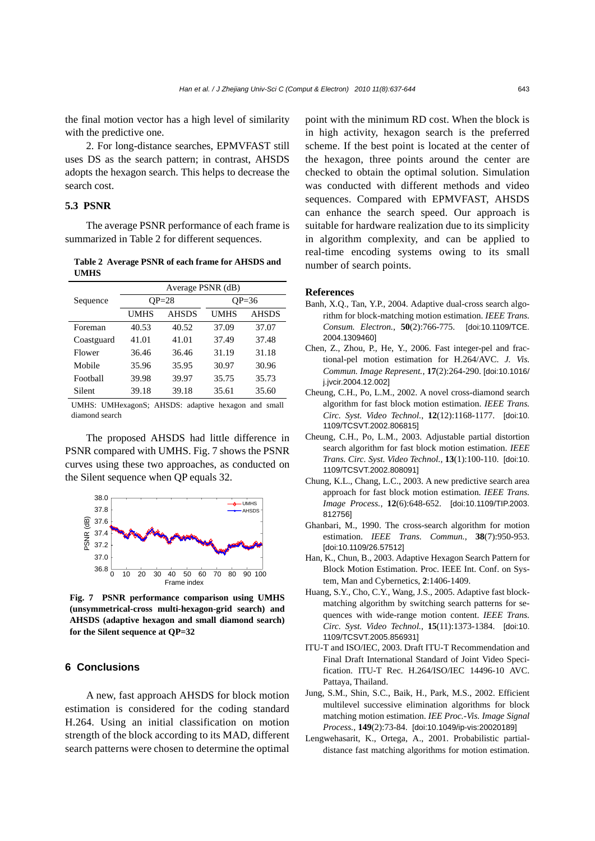the final motion vector has a high level of similarity with the predictive one.

2. For long-distance searches, EPMVFAST still uses DS as the search pattern; in contrast, AHSDS adopts the hexagon search. This helps to decrease the search cost.

## **5.3 PSNR**

The average PSNR performance of each frame is summarized in Table 2 for different sequences.

#### **Table 2 Average PSNR of each frame for AHSDS and UMHS**

|            | Average PSNR (dB) |              |             |              |  |  |
|------------|-------------------|--------------|-------------|--------------|--|--|
| Sequence   | $OP = 28$         |              | $QP=36$     |              |  |  |
|            | UMHS              | <b>AHSDS</b> | <b>UMHS</b> | <b>AHSDS</b> |  |  |
| Foreman    | 40.53             | 40.52        | 37.09       | 37.07        |  |  |
| Coastguard | 41.01             | 41.01        | 37.49       | 37.48        |  |  |
| Flower     | 36.46             | 36.46        | 31.19       | 31.18        |  |  |
| Mobile     | 35.96             | 35.95        | 30.97       | 30.96        |  |  |
| Football   | 39.98             | 39.97        | 35.75       | 35.73        |  |  |
| Silent     | 39.18             | 39.18        | 35.61       | 35.60        |  |  |

UMHS: UMHexagonS; AHSDS: adaptive hexagon and small diamond search

The proposed AHSDS had little difference in PSNR compared with UMHS. Fig. 7 shows the PSNR curves using these two approaches, as conducted on the Silent sequence when QP equals 32.



**Fig. 7 PSNR performance comparison using UMHS (unsymmetrical-cross multi-hexagon-grid search) and AHSDS (adaptive hexagon and small diamond search) for the Silent sequence at QP=32** 

## **6 Conclusions**

A new, fast approach AHSDS for block motion estimation is considered for the coding standard H.264. Using an initial classification on motion strength of the block according to its MAD, different search patterns were chosen to determine the optimal

point with the minimum RD cost. When the block is in high activity, hexagon search is the preferred scheme. If the best point is located at the center of the hexagon, three points around the center are checked to obtain the optimal solution. Simulation was conducted with different methods and video sequences. Compared with EPMVFAST, AHSDS can enhance the search speed. Our approach is suitable for hardware realization due to its simplicity in algorithm complexity, and can be applied to real-time encoding systems owing to its small number of search points.

#### **References**

- Banh, X.Q., Tan, Y.P., 2004. Adaptive dual-cross search algorithm for block-matching motion estimation. *IEEE Trans. Consum. Electron.*, **50**(2):766-775. [doi:10.1109/TCE. 2004.1309460]
- Chen, Z., Zhou, P., He, Y., 2006. Fast integer-pel and fractional-pel motion estimation for H.264/AVC. *J. Vis. Commun. Image Represent.*, **17**(2):264-290. [doi:10.1016/ j.jvcir.2004.12.002]
- Cheung, C.H., Po, L.M., 2002. A novel cross-diamond search algorithm for fast block motion estimation. *IEEE Trans. Circ. Syst. Video Technol.*, **12**(12):1168-1177. [doi:10. 1109/TCSVT.2002.806815]
- Cheung, C.H., Po, L.M., 2003. Adjustable partial distortion search algorithm for fast block motion estimation. *IEEE Trans. Circ. Syst. Video Technol.*, **13**(1):100-110. [doi:10. 1109/TCSVT.2002.808091]
- Chung, K.L., Chang, L.C., 2003. A new predictive search area approach for fast block motion estimation. *IEEE Trans. Image Process.*, **12**(6):648-652. [doi:10.1109/TIP.2003. 812756]
- Ghanbari, M., 1990. The cross-search algorithm for motion estimation. *IEEE Trans. Commun.*, **38**(7):950-953. [doi:10.1109/26.57512]
- Han, K., Chun, B., 2003. Adaptive Hexagon Search Pattern for Block Motion Estimation. Proc. IEEE Int. Conf. on System, Man and Cybernetics, **2**:1406-1409.
- Huang, S.Y., Cho, C.Y., Wang, J.S., 2005. Adaptive fast blockmatching algorithm by switching search patterns for sequences with wide-range motion content. *IEEE Trans. Circ. Syst. Video Technol.*, **15**(11):1373-1384. [doi:10. 1109/TCSVT.2005.856931]
- ITU-T and ISO/IEC, 2003. Draft ITU-T Recommendation and Final Draft International Standard of Joint Video Specification. ITU-T Rec. H.264/ISO/IEC 14496-10 AVC. Pattaya, Thailand.
- Jung, S.M., Shin, S.C., Baik, H., Park, M.S., 2002. Efficient multilevel successive elimination algorithms for block matching motion estimation. *IEE Proc.-Vis. Image Signal Process.*, **149**(2):73-84. [doi:10.1049/ip-vis:20020189]
- Lengwehasarit, K., Ortega, A., 2001. Probabilistic partialdistance fast matching algorithms for motion estimation.